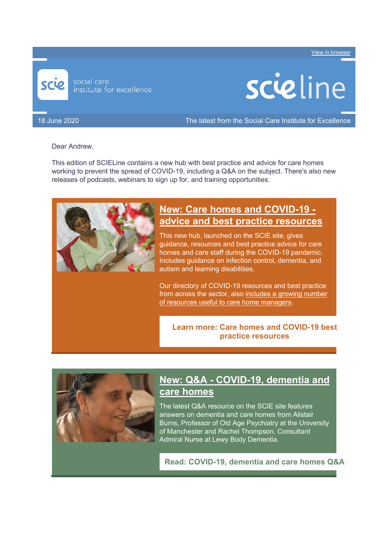Including a new  $\alpha$ , plus podcasts, webinars and other resources. The latest from SCIE. View in browser





18 June 2020 The latest from the Social Care Institute for Excellence

#### Dear Andrew,

This edition of SCIELine contains a new hub with best practice and advice for care homes working to prevent the spread of COVID-19, including a Q&A on the subject. There's also new releases of podcasts, webinars to sign up for, and training opportunities.



#### **New: Care homes and COVID-19 advice and best practice resources**

This new hub, launched on the SCIE site, gives guidance, resources and best practice advice for care homes and care staff during the COVID-19 pandemic. Includes guidance on infection control, dementia, and autism and learning disabilities.

Our directory of COVID-19 resources and best practice from across the sector, also includes a growing number of resources useful to care home managers.

**Learn more: Care homes and COVID-19 best practice resources**



# **New: Q&A - COVID-19, dementia and care homes**

The latest Q&A resource on the SCIE site features answers on dementia and care homes from Alistair Burns, Professor of Old Age Psychiatry at the University of Manchester and Rachel Thompson, Consultant Admiral Nurse at Lewy Body Dementia.

**Read: COVID-19, dementia and care homes Q&A**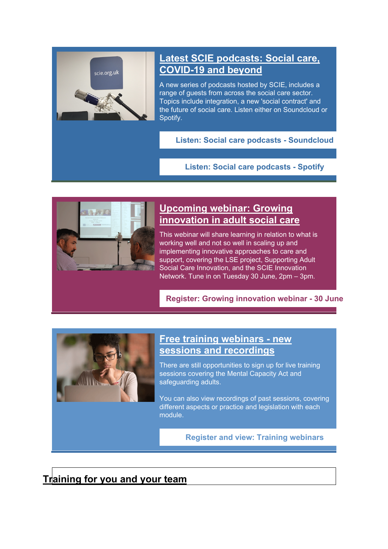

# **Latest SCIE podcasts: Social care, COVID-19 and beyond**

A new series of podcasts hosted by SCIE, includes a range of guests from across the social care sector. Topics include integration, a new 'social contract' and the future of social care. Listen either on Soundcloud or Spotify.

**Listen: Social care podcasts - Soundcloud**

**Listen: Social care podcasts - Spotify**



# **Upcoming webinar: Growing innovation in adult social care**

This webinar will share learning in relation to what is working well and not so well in scaling up and implementing innovative approaches to care and support, covering the LSE project, Supporting Adult Social Care Innovation, and the SCIE Innovation Network. Tune in on Tuesday 30 June, 2pm – 3pm.

**Register: Growing innovation webinar - 30 June**



#### **Free training webinars - new sessions and recordings**

There are still opportunities to sign up for live training sessions covering the Mental Capacity Act and safeguarding adults.

You can also view recordings of past sessions, covering different aspects or practice and legislation with each module.

**Register and view: Training webinars**

**Training for you and your team**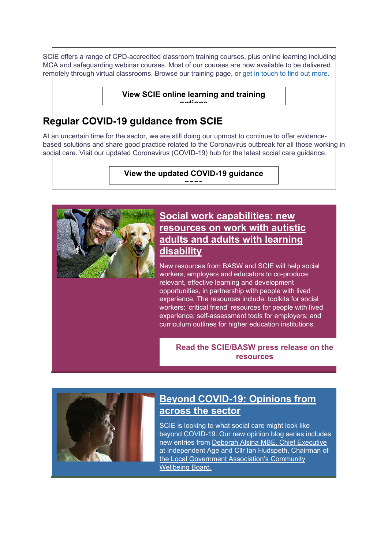SCIE offers a range of CPD-accredited classroom training courses, plus online learning including MCA and safeguarding webinar courses. Most of our courses are now available to be delivered remotely through virtual classrooms. Browse our training page, or get in touch to find out more.

> **View SCIE online learning and training options**

# **Regular COVID-19 guidance from SCIE**

At an uncertain time for the sector, we are still doing our upmost to continue to offer evidencebased solutions and share good practice related to the Coronavirus outbreak for all those working in social care. Visit our updated Coronavirus (COVID-19) hub for the latest social care guidance.

> **View the updated COVID-19 guidance page**



#### **Social work capabilities: new resources on work with autistic adults and adults with learning disability**

New resources from BASW and SCIE will help social workers, employers and educators to co-produce relevant, effective learning and development opportunities, in partnership with people with lived experience. The resources include: toolkits for social workers; 'critical friend' resources for people with lived experience; self-assessment tools for employers; and curriculum outlines for higher education institutions.

**Read the SCIE/BASW press release on the resources**



# **Beyond COVID-19: Opinions from across the sector**

SCIE is looking to what social care might look like beyond COVID-19. Our new opinion blog series includes new entries from Deborah Alsina MBE, Chief Executive at Independent Age and Cllr Ian Hudspeth, Chairman of the Local Government Association's Community Wellbeing Board.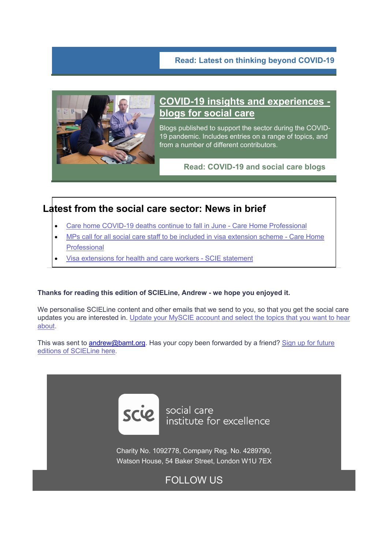

### **COVID-19 insights and experiences blogs for social care**

Blogs published to support the sector during the COVID-19 pandemic. Includes entries on a range of topics, and from a number of different contributors.

**Read: COVID-19 and social care blogs**

### **Latest from the social care sector: News in brief**

- Care home COVID-19 deaths continue to fall in June Care Home Professional
- MPs call for all social care staff to be included in visa extension scheme Care Home Professional
- Visa extensions for health and care workers SCIE statement

#### **Thanks for reading this edition of SCIELine, Andrew - we hope you enjoyed it.**

We personalise SCIELine content and other emails that we send to you, so that you get the social care updates you are interested in. Update your MySCIE account and select the topics that you want to hear about.

This was sent to andrew@bamt.org. Has your copy been forwarded by a friend? Sign up for future editions of SCIELine here.